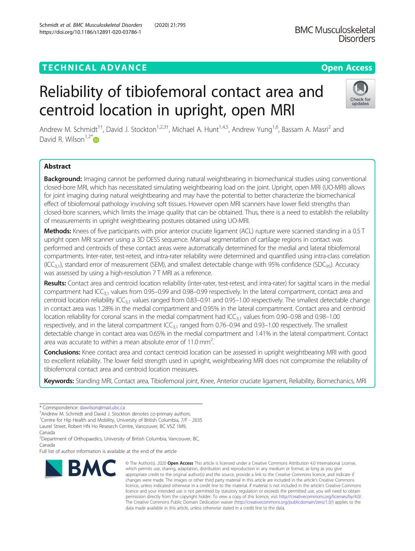# **TECHNICAL ADVANCE CONSUMING A LIGACION** COPEN ACCESS

# Reliability of tibiofemoral contact area and centroid location in upright, open MRI

Andrew M. Schmidt<sup>1†</sup>, David J. Stockton<sup>1,2,3†</sup>, Michael A. Hunt<sup>1,4,5</sup>, Andrew Yung<sup>1,6</sup>, Bassam A. Masri<sup>2</sup> and David R. Wilson<sup>1,2[\\*](http://orcid.org/0000-0001-6893-0894)</sup>

## Abstract

Background: Imaging cannot be performed during natural weightbearing in biomechanical studies using conventional closed-bore MRI, which has necessitated simulating weightbearing load on the joint. Upright, open MRI (UO-MRI) allows for joint imaging during natural weightbearing and may have the potential to better characterize the biomechanical effect of tibiofemoral pathology involving soft tissues. However open MRI scanners have lower field strengths than closed-bore scanners, which limits the image quality that can be obtained. Thus, there is a need to establish the reliability of measurements in upright weightbearing postures obtained using UO-MRI.

Methods: Knees of five participants with prior anterior cruciate ligament (ACL) rupture were scanned standing in a 0.5 T upright open MRI scanner using a 3D DESS sequence. Manual segmentation of cartilage regions in contact was performed and centroids of these contact areas were automatically determined for the medial and lateral tibiofemoral compartments. Inter-rater, test-retest, and intra-rater reliability were determined and quantified using intra-class correlation  $(ICC<sub>3,1</sub>)$ , standard error of measurement (SEM), and smallest detectable change with 95% confidence (SDC<sub>95</sub>). Accuracy was assessed by using a high-resolution 7 T MRI as a reference.

Results: Contact area and centroid location reliability (inter-rater, test-retest, and intra-rater) for sagittal scans in the medial compartment had ICC<sub>3,1</sub> values from 0.95–0.99 and 0.98–0.99 respectively. In the lateral compartment, contact area and centroid location reliability ICC<sub>3,1</sub> values ranged from 0.83–0.91 and 0.95–1.00 respectively. The smallest detectable change in contact area was 1.28% in the medial compartment and 0.95% in the lateral compartment. Contact area and centroid location reliability for coronal scans in the medial compartment had  $IC_{3,1}$  values from 0.90–0.98 and 0.98–1.00 respectively, and in the lateral compartment  $ICC_{3,1}$  ranged from 0.76–0.94 and 0.93–1.00 respectively. The smallest detectable change in contact area was 0.65% in the medial compartment and 1.41% in the lateral compartment. Contact area was accurate to within a mean absolute error of 11.0 mm<sup>2</sup>. .

**Conclusions:** Knee contact area and contact centroid location can be assessed in upright weightbearing MRI with good to excellent reliability. The lower field strength used in upright, weightbearing MRI does not compromise the reliability of tibiofemoral contact area and centroid location measures.

Keywords: Standing MRI, Contact area, Tibiofemoral joint, Knee, Anterior cruciate ligament, Reliability, Biomechanics, MRI

**BMC** 

© The Author(s), 2020 **Open Access** This article is licensed under a Creative Commons Attribution 4.0 International License, which permits use, sharing, adaptation, distribution and reproduction in any medium or format, as long as you give appropriate credit to the original author(s) and the source, provide a link to the Creative Commons licence, and indicate if changes were made. The images or other third party material in this article are included in the article's Creative Commons licence, unless indicated otherwise in a credit line to the material. If material is not included in the article's Creative Commons licence and your intended use is not permitted by statutory regulation or exceeds the permitted use, you will need to obtain permission directly from the copyright holder. To view a copy of this licence, visit [http://creativecommons.org/licenses/by/4.0/.](http://creativecommons.org/licenses/by/4.0/) The Creative Commons Public Domain Dedication waiver [\(http://creativecommons.org/publicdomain/zero/1.0/](http://creativecommons.org/publicdomain/zero/1.0/)) applies to the data made available in this article, unless otherwise stated in a credit line to the data.







<sup>\*</sup> Correspondence: [dawilson@mail.ubc.ca](mailto:dawilson@mail.ubc.ca) †

<sup>&</sup>lt;sup>+</sup>Andrew M. Schmidt and David J. Stockton denotes co-primary authors.

<sup>&</sup>lt;sup>1</sup> Centre for Hip Health and Mobility, University of British Columbia, 7/F - 2635 Laurel Street, Robert HN Ho Research Centre, Vancouver, BC V5Z 1M9,

Canada

<sup>&</sup>lt;sup>2</sup>Department of Orthopaedics, University of British Columbia, Vancouver, BC, Canada

Full list of author information is available at the end of the article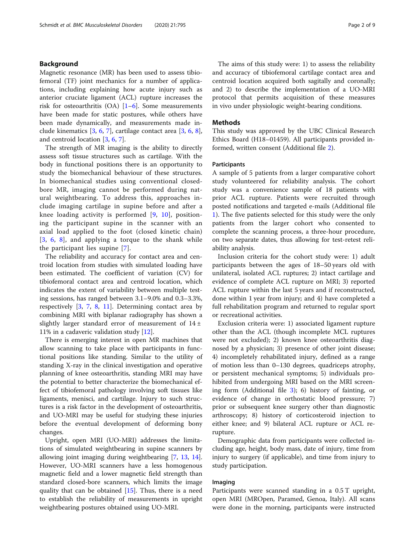#### Background

Magnetic resonance (MR) has been used to assess tibiofemoral (TF) joint mechanics for a number of applications, including explaining how acute injury such as anterior cruciate ligament (ACL) rupture increases the risk for osteoarthritis  $(OA)$  [[1](#page-7-0)–[6\]](#page-7-0). Some measurements have been made for static postures, while others have been made dynamically, and measurements made include kinematics [[3,](#page-7-0) [6](#page-7-0), [7](#page-7-0)], cartilage contact area [[3,](#page-7-0) [6,](#page-7-0) [8](#page-7-0)], and centroid location [\[3](#page-7-0), [6](#page-7-0), [7](#page-7-0)].

The strength of MR imaging is the ability to directly assess soft tissue structures such as cartilage. With the body in functional positions there is an opportunity to study the biomechanical behaviour of these structures. In biomechanical studies using conventional closedbore MR, imaging cannot be performed during natural weightbearing. To address this, approaches include imaging cartilage in supine before and after a knee loading activity is performed [[9,](#page-7-0) [10\]](#page-7-0), positioning the participant supine in the scanner with an axial load applied to the foot (closed kinetic chain) [[3](#page-7-0), [6,](#page-7-0) [8](#page-7-0)], and applying a torque to the shank while the participant lies supine [\[7](#page-7-0)].

The reliability and accuracy for contact area and centroid location from studies with simulated loading have been estimated. The coefficient of variation (CV) for tibiofemoral contact area and centroid location, which indicates the extent of variability between multiple testing sessions, has ranged between 3.1–9.0% and 0.3–3.3%, respectively [\[3](#page-7-0), [7,](#page-7-0) [8,](#page-7-0) [11\]](#page-7-0). Determining contact area by combining MRI with biplanar radiography has shown a slightly larger standard error of measurement of  $14 \pm$ 11% in a cadaveric validation study [\[12](#page-7-0)].

There is emerging interest in open MR machines that allow scanning to take place with participants in functional positions like standing. Similar to the utility of standing X-ray in the clinical investigation and operative planning of knee osteoarthritis, standing MRI may have the potential to better characterize the biomechanical effect of tibiofemoral pathology involving soft tissues like ligaments, menisci, and cartilage. Injury to such structures is a risk factor in the development of osteoarthritis, and UO-MRI may be useful for studying these injuries before the eventual development of deforming bony changes.

Upright, open MRI (UO-MRI) addresses the limitations of simulated weightbearing in supine scanners by allowing joint imaging during weightbearing [[7,](#page-7-0) [13](#page-7-0), [14](#page-7-0)]. However, UO-MRI scanners have a less homogenous magnetic field and a lower magnetic field strength than standard closed-bore scanners, which limits the image quality that can be obtained [[15\]](#page-7-0). Thus, there is a need to establish the reliability of measurements in upright weightbearing postures obtained using UO-MRI.

The aims of this study were: 1) to assess the reliability and accuracy of tibiofemoral cartilage contact area and centroid location acquired both sagitally and coronally; and 2) to describe the implementation of a UO-MRI protocol that permits acquisition of these measures in vivo under physiologic weight-bearing conditions.

#### Methods

This study was approved by the UBC Clinical Research Ethics Board (H18–01459). All participants provided informed, written consent (Additional file [2\)](#page-7-0).

#### Participants

A sample of 5 patients from a larger comparative cohort study volunteered for reliability analysis. The cohort study was a convenience sample of 18 patients with prior ACL rupture. Patients were recruited through posted notifications and targeted e-mails (Additional file [1\)](#page-7-0). The five patients selected for this study were the only patients from the larger cohort who consented to complete the scanning process, a three-hour procedure, on two separate dates, thus allowing for test-retest reliability analysis.

Inclusion criteria for the cohort study were: 1) adult participants between the ages of 18–50 years old with unilateral, isolated ACL ruptures; 2) intact cartilage and evidence of complete ACL rupture on MRI; 3) reported ACL rupture within the last 5 years and if reconstructed, done within 1 year from injury; and 4) have completed a full rehabilitation program and returned to regular sport or recreational activities.

Exclusion criteria were: 1) associated ligament rupture other than the ACL (though incomplete MCL ruptures were not excluded); 2) known knee osteoarthritis diagnosed by a physician; 3) presence of other joint disease; 4) incompletely rehabilitated injury, defined as a range of motion less than 0–130 degrees, quadriceps atrophy, or persistent mechanical symptoms; 5) individuals prohibited from undergoing MRI based on the MRI screening form (Additional file [3](#page-7-0)); 6) history of fainting, or evidence of change in orthostatic blood pressure; 7) prior or subsequent knee surgery other than diagnostic arthroscopy; 8) history of corticosteroid injection to either knee; and 9) bilateral ACL rupture or ACL rerupture.

Demographic data from participants were collected including age, height, body mass, date of injury, time from injury to surgery (if applicable), and time from injury to study participation.

## Imaging

Participants were scanned standing in a 0.5 T upright, open MRI (MROpen, Paramed, Genoa, Italy). All scans were done in the morning, participants were instructed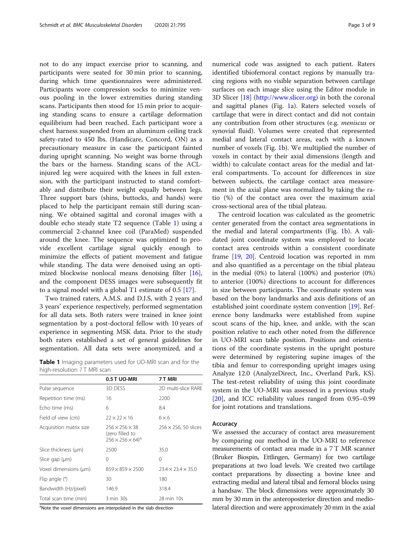<span id="page-2-0"></span>not to do any impact exercise prior to scanning, and participants were seated for 30 min prior to scanning, during which time questionnaires were administered. Participants wore compression socks to minimize venous pooling in the lower extremities during standing scans. Participants then stood for 15 min prior to acquiring standing scans to ensure a cartilage deformation equilibrium had been reached. Each participant wore a chest harness suspended from an aluminum ceiling track safety-rated to 450 lbs. (Handicare, Concord, ON) as a precautionary measure in case the participant fainted during upright scanning. No weight was borne through the bars or the harness. Standing scans of the ACLinjured leg were acquired with the knees in full extension, with the participant instructed to stand comfortably and distribute their weight equally between legs. Three support bars (shins, buttocks, and hands) were placed to help the participant remain still during scanning. We obtained sagittal and coronal images with a double echo steady state T2 sequence (Table 1) using a commercial 2-channel knee coil (ParaMed) suspended around the knee. The sequence was optimized to provide excellent cartilage signal quickly enough to minimize the effects of patient movement and fatigue while standing. The data were denoised using an optimized blockwise nonlocal means denoising filter [\[16](#page-7-0)], and the component DESS images were subsequently fit to a signal model with a global T1 estimate of 0.5 [[17\]](#page-7-0).

Two trained raters, A.M.S. and D.J.S, with 2 years and 3 years' experience respectively, performed segmentation for all data sets. Both raters were trained in knee joint segmentation by a post-doctoral fellow with 10 years of experience in segmenting MSK data. Prior to the study both raters established a set of general guidelines for segmentation. All data sets were anonymized, and a

Table 1 Imaging parameters used for UO-MRI scan and for the high-resolution 7T MRI scan

|                         | 0.5 T UO-MRI                                                                             | 7 T MRI                        |
|-------------------------|------------------------------------------------------------------------------------------|--------------------------------|
| Pulse sequence          | 3D DESS                                                                                  | 2D multi-slice RARE            |
| Repetition time (ms)    | 16                                                                                       | 2200                           |
| Echo time (ms)          | 6                                                                                        | 8.4                            |
| Field of view (cm)      | $22 \times 22 \times 16$                                                                 | $6 \times 6$                   |
| Acquisition matrix size | $256 \times 256 \times 38$<br>(zero filled to<br>$256 \times 256 \times 64$ <sup>a</sup> | $256 \times 256$ , 50 slices   |
| Slice thickness (µm)    | 2500                                                                                     | 35.0                           |
| Slice gap $(\mu m)$     | 0                                                                                        | 0                              |
| Voxel dimensions (um)   | $859 \times 859 \times 2500$                                                             | $23.4 \times 23.4 \times 35.0$ |
| Flip angle $(°)$        | 30                                                                                       | 180                            |
| Bandwidth (Hz/pixel)    | 146.9                                                                                    | 318.4                          |
| Total scan time (min)   | 3 min 30s                                                                                | 28 min 10s                     |

<sup>a</sup>Note the voxel dimensions are interpolated in the slab direction

numerical code was assigned to each patient. Raters identified tibiofemoral contact regions by manually tracing regions with no visible separation between cartilage surfaces on each image slice using the Editor module in 3D Slicer [\[18](#page-7-0)] (<http://www.slicer.org>) in both the coronal and sagittal planes (Fig. [1](#page-3-0)a). Raters selected voxels of cartilage that were in direct contact and did not contain any contribution from other structures (e.g. meniscus or synovial fluid). Volumes were created that represented medial and lateral contact areas, each with a known number of voxels (Fig. [1](#page-3-0)b). We multiplied the number of voxels in contact by their axial dimensions (length and width) to calculate contact areas for the medial and lateral compartments. To account for differences in size between subjects, the cartilage contact area measurement in the axial plane was normalized by taking the ratio (%) of the contact area over the maximum axial cross-sectional area of the tibial plateau.

The centroid location was calculated as the geometric center generated from the contact area segmentations in the medial and lateral compartments (Fig. [1](#page-3-0)b). A validated joint coordinate system was employed to locate contact area centroids within a consistent coordinate frame [[19,](#page-7-0) [20](#page-7-0)]. Centroid location was reported in mm and also quantified as a percentage on the tibial plateau in the medial (0%) to lateral (100%) and posterior (0%) to anterior (100%) directions to account for differences in size between participants. The coordinate system was based on the bony landmarks and axis definitions of an established joint coordinate system convention [\[19](#page-7-0)]. Reference bony landmarks were established from supine scout scans of the hip, knee, and ankle, with the scan position relative to each other noted from the difference in UO-MRI scan table position. Positions and orientations of the coordinate systems in the upright posture were determined by registering supine images of the tibia and femur to corresponding upright images using Analyze 12.0 (AnalyzeDirect, Inc., Overland Park, KS). The test-retest reliability of using this joint coordinate system in the UO-MRI was assessed in a previous study [[20\]](#page-7-0), and ICC reliability values ranged from 0.95–0.99 for joint rotations and translations.

#### Accuracy

We assessed the accuracy of contact area measurement by comparing our method in the UO-MRI to reference measurements of contact area made in a 7 T MR scanner (Bruker Biospin, Ettlingen, Germany) for two cartilage preparations at two load levels. We created two cartilage contact preparations by dissecting a bovine knee and extracting medial and lateral tibial and femoral blocks using a handsaw. The block dimensions were approximately 30 mm by 30 mm in the anteroposterior direction and mediolateral direction and were approximately 20 mm in the axial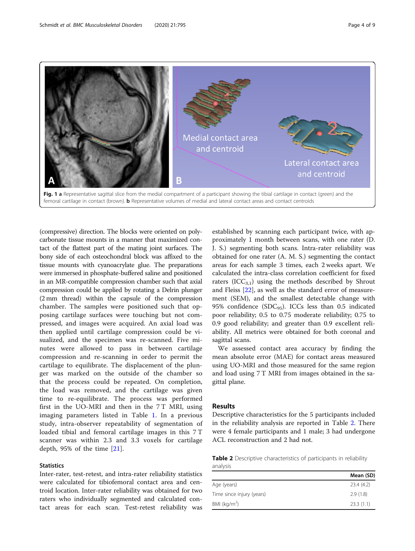<span id="page-3-0"></span>

(compressive) direction. The blocks were oriented on polycarbonate tissue mounts in a manner that maximized contact of the flattest part of the mating joint surfaces. The bony side of each osteochondral block was affixed to the tissue mounts with cyanoacrylate glue. The preparations were immersed in phosphate-buffered saline and positioned in an MR-compatible compression chamber such that axial compression could be applied by rotating a Delrin plunger (2 mm thread) within the capsule of the compression chamber. The samples were positioned such that opposing cartilage surfaces were touching but not compressed, and images were acquired. An axial load was then applied until cartilage compression could be visualized, and the specimen was re-scanned. Five minutes were allowed to pass in between cartilage compression and re-scanning in order to permit the cartilage to equilibrate. The displacement of the plunger was marked on the outside of the chamber so that the process could be repeated. On completion, the load was removed, and the cartilage was given time to re-equilibrate. The process was performed first in the UO-MRI and then in the 7 T MRI, using imaging parameters listed in Table [1.](#page-2-0) In a previous study, intra-observer repeatability of segmentation of loaded tibial and femoral cartilage images in this 7 T scanner was within 2.3 and 3.3 voxels for cartilage depth, 95% of the time [\[21](#page-8-0)].

#### **Statistics**

Inter-rater, test-retest, and intra-rater reliability statistics were calculated for tibiofemoral contact area and centroid location. Inter-rater reliability was obtained for two raters who individually segmented and calculated contact areas for each scan. Test-retest reliability was

established by scanning each participant twice, with approximately 1 month between scans, with one rater (D. J. S.) segmenting both scans. Intra-rater reliability was obtained for one rater (A. M. S.) segmenting the contact areas for each sample 3 times, each 2 weeks apart. We calculated the intra-class correlation coefficient for fixed raters  $(ICC_{3,1})$  using the methods described by Shrout and Fleiss [\[22](#page-8-0)], as well as the standard error of measurement (SEM), and the smallest detectable change with 95% confidence (SDC<sub>95</sub>). ICCs less than 0.5 indicated poor reliability; 0.5 to 0.75 moderate reliability; 0.75 to 0.9 good reliability; and greater than 0.9 excellent reliability. All metrics were obtained for both coronal and sagittal scans.

We assessed contact area accuracy by finding the mean absolute error (MAE) for contact areas measured using UO-MRI and those measured for the same region and load using 7 T MRI from images obtained in the sagittal plane.

#### Results

Descriptive characteristics for the 5 participants included in the reliability analysis are reported in Table 2. There were 4 female participants and 1 male; 3 had undergone ACL reconstruction and 2 had not.

Table 2 Descriptive characteristics of participants in reliability analysis

|                           | Mean (SD) |
|---------------------------|-----------|
| Age (years)               | 23.4(4.2) |
| Time since injury (years) | 2.9(1.8)  |
| BMI ( $kg/m2$ )           | 23.3(1.1) |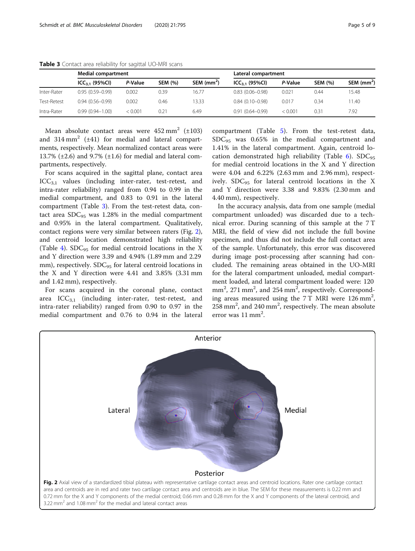|             | <b>Medial compartment</b> |         |                | Lateral compartment |                     |         |                |             |
|-------------|---------------------------|---------|----------------|---------------------|---------------------|---------|----------------|-------------|
|             | $ICC_{3.1}$ (95%CI)       | P-Value | <b>SEM (%)</b> | SEM $(mm2)$         | $ICC_{3.1}$ (95%CI) | P-Value | <b>SEM (%)</b> | SEM $(mm2)$ |
| Inter-Rater | $0.95(0.59 - 0.99)$       | 0.002   | 0.39           | 16.77               | $0.83(0.06 - 0.98)$ | 0.021   | 0.44           | 15.48       |
| Test-Retest | $0.94(0.56 - 0.99)$       | 0.002   | 0.46           | 13.33               | $0.84(0.10-0.98)$   | 0.017   | 0.34           | 11.40       |
| Intra-Rater | $0.99(0.94 - 1.00)$       | < 0.001 | 0.21           | 6.49                | $0.91(0.64 - 0.99)$ | < 0.001 | 0.31           | 7.92        |

<span id="page-4-0"></span>Table 3 Contact area reliability for sagittal UO-MRI scans

Mean absolute contact areas were  $452 \text{ mm}^2$  ( $\pm 103$ ) and  $314 \text{ mm}^2$  ( $\pm 41$ ) for medial and lateral compartments, respectively. Mean normalized contact areas were 13.7% ( $\pm$ 2.6) and 9.7% ( $\pm$ 1.6) for medial and lateral compartments, respectively.

For scans acquired in the sagittal plane, contact area  $ICC_{3,1}$  values (including inter-rater, test-retest, and intra-rater reliability) ranged from 0.94 to 0.99 in the medial compartment, and 0.83 to 0.91 in the lateral compartment (Table 3). From the test-retest data, contact area  $SDC_{95}$  was 1.28% in the medial compartment and 0.95% in the lateral compartment. Qualitatively, contact regions were very similar between raters (Fig. 2), and centroid location demonstrated high reliability (Table [4\)](#page-5-0). SDC<sub>95</sub> for medial centroid locations in the X and Y direction were 3.39 and 4.94% (1.89 mm and 2.29 mm), respectively.  $SDC_{95}$  for lateral centroid locations in the X and Y direction were 4.41 and 3.85% (3.31 mm and 1.42 mm), respectively.

For scans acquired in the coronal plane, contact area  $ICC_{3,1}$  (including inter-rater, test-retest, and intra-rater reliability) ranged from 0.90 to 0.97 in the medial compartment and 0.76 to 0.94 in the lateral

compartment (Table [5](#page-6-0)). From the test-retest data,  $SDC<sub>95</sub>$  was 0.65% in the medial compartment and 1.41% in the lateral compartment. Again, centroid lo-cation demonstrated high reliability (Table [6\)](#page-6-0).  $SDC<sub>95</sub>$ for medial centroid locations in the X and Y direction were 4.04 and 6.22% (2.63 mm and 2.96 mm), respectively.  $SDC_{95}$  for lateral centroid locations in the X and Y direction were 3.38 and 9.83% (2.30 mm and 4.40 mm), respectively.

In the accuracy analysis, data from one sample (medial compartment unloaded) was discarded due to a technical error. During scanning of this sample at the 7 T MRI, the field of view did not include the full bovine specimen, and thus did not include the full contact area of the sample. Unfortunately, this error was discovered during image post-processing after scanning had concluded. The remaining areas obtained in the UO-MRI for the lateral compartment unloaded, medial compartment loaded, and lateral compartment loaded were: 120 mm<sup>2</sup>, 271 mm<sup>2</sup>, and 254 mm<sup>2</sup>, respectively. Corresponding areas measured using the  $7$  T MRI were  $126$  mm<sup>2</sup>, 258 mm<sup>2</sup>, and 240 mm<sup>2</sup>, respectively. The mean absolute error was 11 mm<sup>2</sup>.

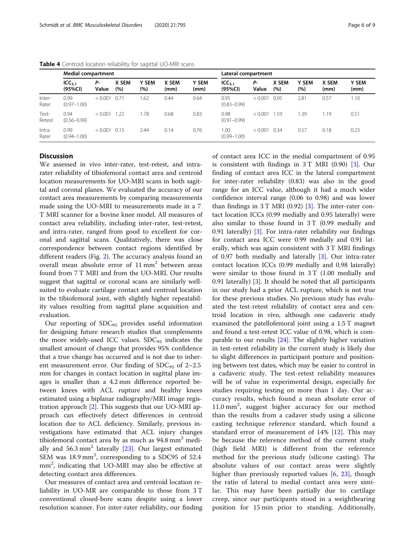|                 | <b>Medial compartment</b>     |             | Lateral compartment |                     |               |                      |                               |             |              |                     |               |                      |
|-----------------|-------------------------------|-------------|---------------------|---------------------|---------------|----------------------|-------------------------------|-------------|--------------|---------------------|---------------|----------------------|
|                 | ICC <sub>3.1</sub><br>(95%CI) | Р-<br>Value | X SEM<br>(%)        | <b>Y SEM</b><br>(%) | X SEM<br>(mm) | <b>Y SEM</b><br>(mm) | ICC <sub>3.1</sub><br>(95%CI) | Р-<br>Value | X SEM<br>(%) | <b>Y SEM</b><br>(%) | X SEM<br>(mm) | <b>Y SEM</b><br>(mm) |
| Inter-<br>Rater | 0.99<br>$(0.97 - 1.00)$       | < 0.001     | 0.71                | 1.62                | 0.44          | 0.64                 | 0.95<br>$(0.83 - 0.99)$       | < 0.001     | 0.95         | 2.81                | 0.57          | 1.10                 |
| Test-<br>Retest | 0.94<br>$(0.56 - 0.99)$       | < 0.001     | 1.22                | 1.78                | 0.68          | 0.83                 | 0.98<br>$(0.91 - 0.99)$       | < 0.001     | 1.59         | 1.39                | 1.19          | 0.51                 |
| Intra-<br>Rater | 0.99<br>$(0.94 - 1.00)$       | < 0.001     | 0.15                | 2.44                | 0.14          | 0.76                 | 1.00<br>$(0.99 - 1.00)$       | < 0.001     | 0.34         | 0.57                | 0.18          | 0.23                 |

<span id="page-5-0"></span>Table 4 Centroid location reliability for sagittal UO-MRI scans

### **Discussion**

We assessed in vivo inter-rater, test-retest, and intrarater reliability of tibiofemoral contact area and centroid location measurements for UO-MRI scans in both sagittal and coronal planes. We evaluated the accuracy of our contact area measurements by comparing measurements made using the UO-MRI to measurements made in a 7 T MRI scanner for a bovine knee model. All measures of contact area reliability, including inter-rater, test-retest, and intra-rater, ranged from good to excellent for coronal and sagittal scans. Qualitatively, there was close correspondence between contact regions identified by different readers (Fig. [2\)](#page-4-0). The accuracy analysis found an overall mean absolute error of 11 mm<sup>2</sup> between areas found from 7 T MRI and from the UO-MRI. Our results suggest that sagittal or coronal scans are similarly wellsuited to evaluate cartilage contact and centroid location in the tibiofemoral joint, with slightly higher repeatability values resulting from sagittal plane acquisition and evaluation.

Our reporting of  $SDC<sub>95</sub>$  provides useful information for designing future research studies that complements the more widely-used ICC values.  $SDC_{95}$  indicates the smallest amount of change that provides 95% confidence that a true change has occurred and is not due to inherent measurement error. Our finding of  $SDC<sub>95</sub>$  of 2–2.5 mm for changes in contact location in sagittal plane images is smaller than a 4.2 mm difference reported between knees with ACL rupture and healthy knees estimated using a biplanar radiography/MRI image registration approach [[2\]](#page-7-0). This suggests that our UO-MRI approach can effectively detect differences in centroid location due to ACL deficiency. Similarly, previous investigations have estimated that ACL injury changes tibiofemoral contact area by as much as  $94.8 \text{ mm}^2$  medially and  $56.3 \text{ mm}^2$  laterally [[23](#page-8-0)]. Our largest estimated SEM was  $18.9$  mm<sup>2</sup>, corresponding to a SDC95 of 52.4 mm<sup>2</sup>, indicating that UO-MRI may also be effective at detecting contact area differences.

Our measures of contact area and centroid location reliability in UO-MR are comparable to those from 3 T conventional closed-bore scans despite using a lower resolution scanner. For inter-rater reliability, our finding of contact area ICC in the medial compartment of 0.95 is consistent with findings in 3 T MRI (0.90) [[3\]](#page-7-0). Our finding of contact area ICC in the lateral compartment for inter-rater reliability (0.83) was also in the good range for an ICC value, although it had a much wider confidence interval range (0.06 to 0.98) and was lower than findings in  $3 T$  $3 T$  MRI (0.92) [3]. The inter-rater contact location ICCs (0.99 medially and 0.95 laterally) were also similar to those found in 3 T (0.99 medially and 0.91 laterally) [[3\]](#page-7-0). For intra-rater reliability our findings for contact area ICC were 0.99 medially and 0.91 laterally, which was again consistent with 3 T MRI findings of 0.97 both medially and laterally [\[3](#page-7-0)]. Our intra-rater contact location ICCs (0.99 medially and 0.98 laterally) were similar to those found in 3 T (1.00 medially and 0.91 laterally) [\[3](#page-7-0)]. It should be noted that all participants in our study had a prior ACL rupture, which is not true for these previous studies. No previous study has evaluated the test-retest reliability of contact area and centroid location in vivo, although one cadaveric study examined the patellofemoral joint using a 1.5 T magnet and found a test-retest ICC value of 0.98, which is comparable to our results [[24](#page-8-0)]. The slightly higher variation in test-retest reliability in the current study is likely due to slight differences in participant posture and positioning between test dates, which may be easier to control in a cadaveric study. The test-retest reliability measures will be of value in experimental design, especially for studies requiring testing on more than 1 day. Our accuracy results, which found a mean absolute error of 11.0 mm<sup>2</sup> , suggest higher accuracy for our method than the results from a cadaver study using a silicone casting technique reference standard, which found a standard error of measurement of  $14\%$  [\[12](#page-7-0)]. This may be because the reference method of the current study (high field MRI) is different from the reference method for the previous study (silicone casting). The absolute values of our contact areas were slightly higher than previously reported values [[6,](#page-7-0) [23](#page-8-0)], though the ratio of lateral to medial contact area were similar. This may have been partially due to cartilage creep, since our participants stood in a weightbearing position for 15 min prior to standing. Additionally,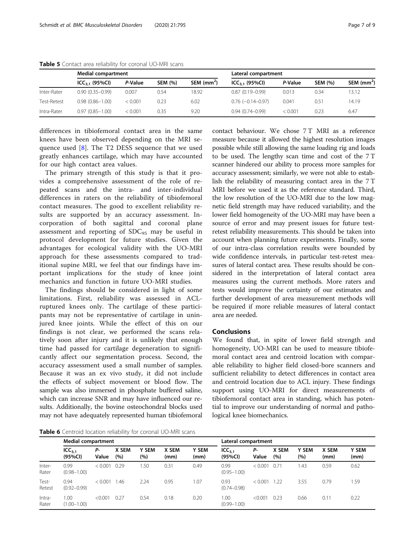|             | Medial compartment  |         |                |                          | Lateral compartment     |         |                |             |  |  |
|-------------|---------------------|---------|----------------|--------------------------|-------------------------|---------|----------------|-------------|--|--|
|             | $ICC_{3.1}$ (95%Cl) | P-Value | <b>SEM (%)</b> | $SEM$ (mm <sup>2</sup> ) | $ICC_{3.1}$ (95%CI)     | P-Value | <b>SEM (%)</b> | SEM $(mm2)$ |  |  |
| Inter-Rater | $0.90(0.35 - 0.99)$ | 0.007   | 0.54           | 18.92                    | $0.87(0.19 - 0.99)$     | 0.013   | 0.34           | 13.12       |  |  |
| Test-Retest | $0.98(0.86 - 1.00)$ | < 0.001 | 0.23           | 6.02                     | $0.76$ $(-0.14 - 0.97)$ | 0.041   | 0.51           | 14.19       |  |  |
| Intra-Rater | $0.97(0.85 - 1.00)$ | < 0.001 | 0.35           | 9.20                     | $0.94(0.74 - 0.99)$     | < 0.001 | 0.23           | 6.47        |  |  |

<span id="page-6-0"></span>Table 5 Contact area reliability for coronal UO-MRI scans

differences in tibiofemoral contact area in the same knees have been observed depending on the MRI sequence used [[8\]](#page-7-0). The T2 DESS sequence that we used greatly enhances cartilage, which may have accounted for our high contact area values.

The primary strength of this study is that it provides a comprehensive assessment of the role of repeated scans and the intra- and inter-individual differences in raters on the reliability of tibiofemoral contact measures. The good to excellent reliability results are supported by an accuracy assessment. Incorporation of both sagittal and coronal plane assessment and reporting of  $SDC_{95}$  may be useful in protocol development for future studies. Given the advantages for ecological validity with the UO-MRI approach for these assessments compared to traditional supine MRI, we feel that our findings have important implications for the study of knee joint mechanics and function in future UO-MRI studies.

The findings should be considered in light of some limitations. First, reliability was assessed in ACLruptured knees only. The cartilage of these participants may not be representative of cartilage in uninjured knee joints. While the effect of this on our findings is not clear, we performed the scans relatively soon after injury and it is unlikely that enough time had passed for cartilage degeneration to significantly affect our segmentation process. Second, the accuracy assessment used a small number of samples. Because it was an ex vivo study, it did not include the effects of subject movement or blood flow. The sample was also immersed in phosphate buffered saline, which can increase SNR and may have influenced our results. Additionally, the bovine osteochondral blocks used may not have adequately represented human tibiofemoral contact behaviour. We chose 7T MRI as a reference measure because it allowed the highest resolution images possible while still allowing the same loading rig and loads to be used. The lengthy scan time and cost of the 7 T scanner hindered our ability to process more samples for accuracy assessment; similarly, we were not able to establish the reliability of measuring contact area in the 7 T MRI before we used it as the reference standard. Third, the low resolution of the UO-MRI due to the low magnetic field strength may have reduced variability, and the lower field homogeneity of the UO-MRI may have been a source of error and may present issues for future testretest reliability measurements. This should be taken into account when planning future experiments. Finally, some of our intra-class correlation results were bounded by wide confidence intervals, in particular test-retest measures of lateral contact area. These results should be considered in the interpretation of lateral contact area measures using the current methods. More raters and tests would improve the certainty of our estimates and further development of area measurement methods will be required if more reliable measures of lateral contact area are needed.

#### Conclusions

We found that, in spite of lower field strength and homogeneity, UO-MRI can be used to measure tibiofemoral contact area and centroid location with comparable reliability to higher field closed-bore scanners and sufficient reliability to detect differences in contact area and centroid location due to ACL injury. These findings support using UO-MRI for direct measurements of tibiofemoral contact area in standing, which has potential to improve our understanding of normal and pathological knee biomechanics.

Table 6 Centroid location reliability for coronal UO-MRI scans

|                 | <b>Medial compartment</b>     |             | Lateral compartment |                     |               |                      |                               |             |              |                     |               |                      |
|-----------------|-------------------------------|-------------|---------------------|---------------------|---------------|----------------------|-------------------------------|-------------|--------------|---------------------|---------------|----------------------|
|                 | ICC <sub>3.1</sub><br>(95%CI) | Р-<br>Value | X SEM<br>(%)        | <b>Y SEM</b><br>(%) | X SEM<br>(mm) | <b>Y SEM</b><br>(mm) | ICC <sub>3.1</sub><br>(95%CI) | Р-<br>Value | X SEM<br>(%) | <b>Y SEM</b><br>(%) | X SEM<br>(mm) | <b>Y SEM</b><br>(mm) |
| Inter-<br>Rater | 0.99<br>$(0.98 - 1.00)$       | < 0.001     | 0.29                | i 50                | 0.31          | 0.49                 | 0.99<br>$(0.95 - 1.00)$       | < 0.001     | 0.71         | .43                 | 0.59          | 0.62                 |
| Test-<br>Retest | 0.94<br>$(0.92 - 0.99)$       | < 0.001     | .46                 | 2.24                | 0.95          | 1.07                 | 0.93<br>$(0.74 - 0.98)$       | < 0.001     | 1.22         | 3.55                | 0.79          | 1.59                 |
| Intra-<br>Rater | 1.00<br>$(1.00 - 1.00)$       | < 0.001     | 0.27                | 0.54                | 0.18          | 0.20                 | 1.00<br>$(0.99 - 1.00)$       | < 0.001     | 0.23         | 0.66                | 0.11          | 0.22                 |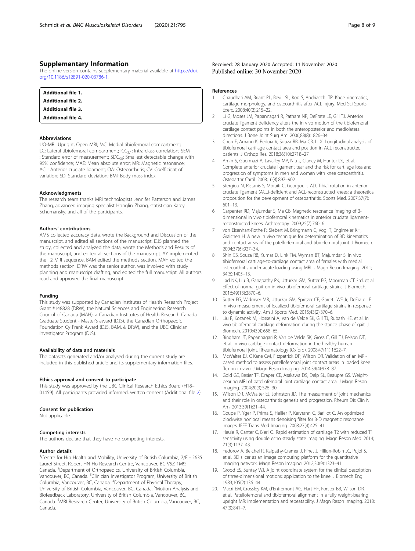#### <span id="page-7-0"></span>Supplementary Information

The online version contains supplementary material available at [https://doi.](https://doi.org/10.1186/s12891-020-03786-1) [org/10.1186/s12891-020-03786-1.](https://doi.org/10.1186/s12891-020-03786-1)

| <b>Additional file 1.</b> |  |
|---------------------------|--|
| <b>Additional file 2.</b> |  |
| <b>Additional file 3.</b> |  |
| <b>Additional file 4.</b> |  |

#### Abbreviations

UO-MRI: Upright, Open MRI; MC: Medial tibiofemoral compartment; LC: Lateral tibiofemoral compartment;  $ICC_{3,1}$ : Intra-class correlation; SEM : Standard error of measurement; SDC<sub>95</sub>: Smallest detectable change with 95% confidence; MAE: Mean absolute error; MR: Magnetic resonance; ACL: Anterior cruciate ligament; OA: Osteoarthritis; CV: Coefficient of variation; SD: Standard deviation; BMI: Body mass index

#### Acknowledgments

The research team thanks MRI technologists Jennifer Patterson and James Zhang, advanced imaging specialist Honglin Zhang, statistician Karey Schumansky, and all of the participants.

#### Authors' contributions

AMS collected accuracy data, wrote the Background and Discussion of the manuscript, and edited all sections of the manuscript. DJS planned the study, collected and analyzed the data, wrote the Methods and Results of the manuscript, and edited all sections of the manuscript. AY implemented the T2 MRI sequence. BAM edited the methods section. MAH edited the methods section. DRW was the senior author, was involved with study planning and manuscript drafting, and edited the full manuscript. All authors read and approved the final manuscript.

#### Funding

This study was supported by Canadian Institutes of Health Research Project Grant #148828 (DRW), the Natural Sciences and Engineering Research Council of Canada (MAH), a Canadian Institutes of Health Research Canada Graduate Student - Master's award (DJS), the Canadian Orthopaedic Foundation Cy Frank Award (DJS, BAM, & DRW), and the UBC Clinician Investigator Program (DJS).

#### Availability of data and materials

The datasets generated and/or analysed during the current study are included in this published article and its supplementary information files.

#### Ethics approval and consent to participate

This study was approved by the UBC Clinical Research Ethics Board (H18– 01459). All participants provided informed, written consent (Additional file 2).

#### Consent for publication

Not applicable.

#### Competing interests

The authors declare that they have no competing interests.

#### Author details

<sup>1</sup> Centre for Hip Health and Mobility, University of British Columbia, 7/F - 2635 Laurel Street, Robert HN Ho Research Centre, Vancouver, BC V5Z 1M9, Canada. <sup>2</sup>Department of Orthopaedics, University of British Columbia, Vancouver, BC, Canada. <sup>3</sup>Clinician Investigator Program, University of British Columbia, Vancouver, BC, Canada. <sup>4</sup> Department of Physical Therapy, University of British Columbia, Vancouver, BC, Canada. <sup>5</sup>Motion Analysis and Biofeedback Laboratory, University of British Columbia, Vancouver, BC, Canada. <sup>6</sup>MRI Research Center, University of British Columbia, Vancouver, BC, Canada.

#### References

- 1. Chaudhari AM, Briant PL, Bevill SL, Koo S, Andriacchi TP. Knee kinematics, cartilage morphology, and osteoarthritis after ACL injury. Med Sci Sports Exerc. 2008;40(2):215–22.
- 2. Li G, Moses JM, Papannagari R, Pathare NP, DeFrate LE, Gill TJ. Anterior cruciate ligament deficiency alters the in vivo motion of the tibiofemoral cartilage contact points in both the anteroposterior and mediolateral directions. J Bone Joint Surg Am. 2006;88(8):1826–34.
- 3. Chen E, Amano K, Pedoia V, Souza RB, Ma CB, Li X. Longitudinal analysis of tibiofemoral cartilage contact area and position in ACL reconstructed patients. J Orthop Res. 2018;36(10):2718–27.
- 4. Amin S, Guermazi A, Lavalley MP, Niu J, Clancy M, Hunter DJ, et al. Complete anterior cruciate ligament tear and the risk for cartilage loss and progression of symptoms in men and women with knee osteoarthritis. Osteoarthr Cartil. 2008;16(8):897–902.
- 5. Stergiou N, Ristanis S, Moraiti C, Georgoulis AD. Tibial rotation in anterior cruciate ligament (ACL)-deficient and ACL-reconstructed knees: a theoretical proposition for the development of osteoarthritis. Sports Med. 2007;37(7): 601–13.
- 6. Carpenter RD, Majumdar S, Ma CB. Magnetic resonance imaging of 3 dimensional in vivo tibiofemoral kinematics in anterior cruciate ligamentreconstructed knees. Arthroscopy. 2009;25(7):760–6.
- 7. von Eisenhart-Rothe R, Siebert M, Bringmann C, Vogl T, Englmeier KH, Graichen H. A new in vivo technique for determination of 3D kinematics and contact areas of the patello-femoral and tibio-femoral joint. J Biomech. 2004;37(6):927–34.
- 8. Shin CS, Souza RB, Kumar D, Link TM, Wyman BT, Majumdar S. In vivo tibiofemoral cartilage-to-cartilage contact area of females with medial osteoarthritis under acute loading using MRI. J Magn Reson Imaging. 2011; 34(6):1405–13.
- 9. Lad NK, Liu B, Ganapathy PK, Utturkar GM, Sutter EG, Moorman CT 3rd, et al. Effect of normal gait on in vivo tibiofemoral cartilage strains. J Biomech. 2016;49(13):2870–6.
- 10. Sutter EG, Widmyer MR, Utturkar GM, Spritzer CE, Garrett WE Jr, DeFrate LE. In vivo measurement of localized tibiofemoral cartilage strains in response to dynamic activity. Am J Sports Med. 2015;43(2):370–6.
- 11. Liu F, Kozanek M, Hosseini A, Van de Velde SK, Gill TJ, Rubash HE, et al. In vivo tibiofemoral cartilage deformation during the stance phase of gait. J Biomech. 2010;43(4):658–65.
- 12. Bingham JT, Papannagari R, Van de Velde SK, Gross C, Gill TJ, Felson DT, et al. In vivo cartilage contact deformation in the healthy human tibiofemoral joint. Rheumatology (Oxford). 2008;47(11):1622–7.
- 13. McWalter EJ, O'Kane CM, Fitzpatrick DP, Wilson DR. Validation of an MRIbased method to assess patellofemoral joint contact areas in loaded knee flexion in vivo. J Magn Reson Imaging. 2014;39(4):978–87.
- 14. Gold GE, Besier TF, Draper CE, Asakawa DS, Delp SL, Beaupre GS. Weightbearing MRI of patellofemoral joint cartilage contact area. J Magn Reson Imaging. 2004;20(3):526–30.
- 15. Wilson DR, McWalter EJ, Johnston JD. The measurment of joint mechanics and their role in osteoarthritis genesis and progression. Rheum Dis Clin N Am. 2013;39(1):21–44.
- 16. Coupe P, Yger P, Prima S, Hellier P, Kervrann C, Barillot C. An optimized blockwise nonlocal means denoising filter for 3-D magnetic resonance images. IEEE Trans Med Imaging. 2008;27(4):425–41.
- 17. Heule R, Ganter C, Bieri O. Rapid estimation of cartilage T2 with reduced T1 sensitivity using double echo steady state imaging. Magn Reson Med. 2014; 71(3):1137–43.
- 18. Fedorov A, Beichel R, Kalpathy-Cramer J, Finet J, Fillion-Robin JC, Pujol S, et al. 3D slicer as an image computing platform for the quantitative imaging network. Magn Reson Imaging. 2012;30(9):1323–41.
- 19. Grood ES, Suntay WJ. A joint coordinate system for the clinical description of three-dimensional motions: application to the knee. J Biomech Eng. 1983;105(2):136–44.
- 20. Macri EM, Crossley KM, d'Entremont AG, Hart HF, Forster BB, Wilson DR, et al. Patellofemoral and tibiofemoral alignment in a fully weight-bearing upright MR: implementation and repeatability. J Magn Reson Imaging. 2018; 47(3):841–7.